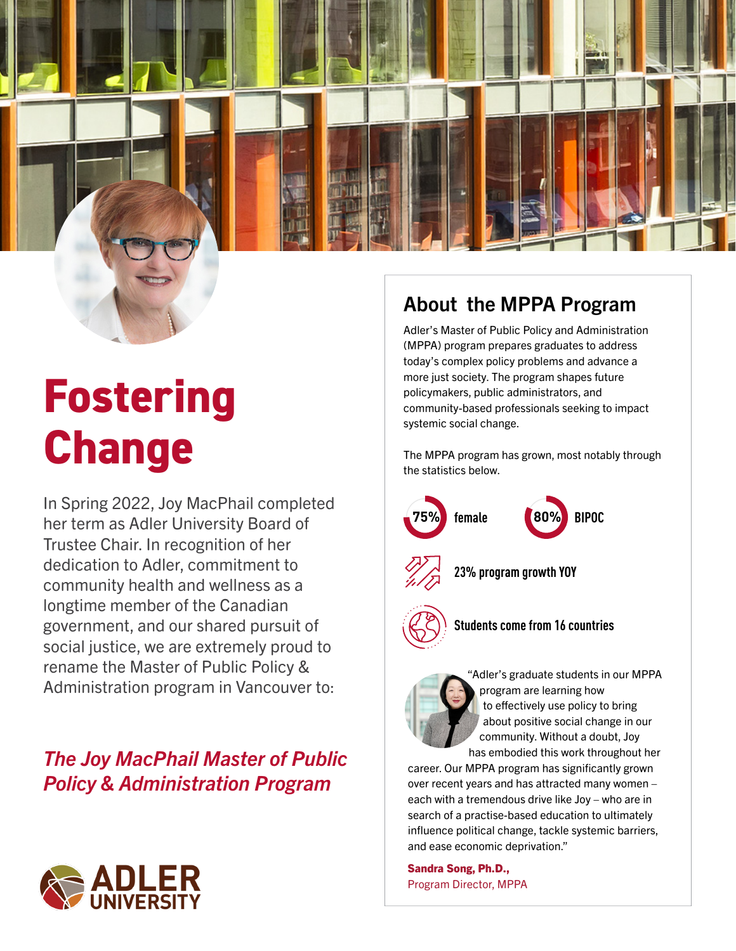

## **Fostering Change**

**Figure 2022, Joy MacPhail completed**<br> **190% BIPOC Except of Contract of Contract of Contract of Contract of Contract of Contract of Contract of Contract of Contract of Contract of Contract of Contract of Contract of C** her term as Adler University Board of Trustee Chair. In recognition of her dedication to Adler, commitment to community health and wellness as a longtime member of the Canadian government, and our shared pursuit of social justice, we are extremely proud to rename the Master of Public Policy & Administration program in Vancouver to:

### *The Joy MacPhail Master of Public Policy & Administration Program*



#### About the MPPA Program

Adler's Master of Public Policy and Administration (MPPA) program prepares graduates to address today's complex policy problems and advance a more just society. The program shapes future policymakers, public administrators, and community-based professionals seeking to impact systemic social change.

The MPPA program has grown, most notably through the statistics below.





"Adler's graduate students in our MPPA program are learning how to effectively use policy to bring about positive social change in our community. Without a doubt, Joy has embodied this work throughout her

career. Our MPPA program has significantly grown over recent years and has attracted many women – each with a tremendous drive like Joy – who are in search of a practise-based education to ultimately influence political change, tackle systemic barriers, and ease economic deprivation."

Sandra Song, Ph.D., Program Director, MPPA